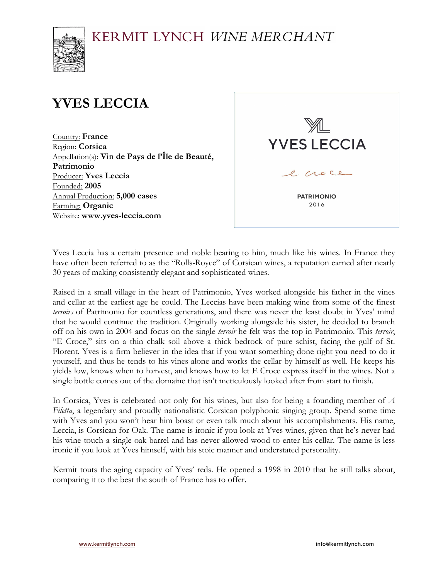# KERMIT LYNCH WINE MERCHANT



# **YVES LECCIA**

Country: **France** Region: **Corsica** Appellation(s): **Vin de Pays de l'Île de Beauté, Patrimonio** Producer: **Yves Leccia** Founded: **2005** Annual Production: **5,000 cases** Farming: **Organic** Website: **www.yves-leccia.com**



Yves Leccia has a certain presence and noble bearing to him, much like his wines. In France they have often been referred to as the "Rolls-Royce" of Corsican wines, a reputation earned after nearly 30 years of making consistently elegant and sophisticated wines.

Raised in a small village in the heart of Patrimonio, Yves worked alongside his father in the vines and cellar at the earliest age he could. The Leccias have been making wine from some of the finest *terroirs* of Patrimonio for countless generations, and there was never the least doubt in Yves' mind that he would continue the tradition. Originally working alongside his sister, he decided to branch off on his own in 2004 and focus on the single *terroir* he felt was the top in Patrimonio. This *terroir*, "E Croce," sits on a thin chalk soil above a thick bedrock of pure schist, facing the gulf of St. Florent. Yves is a firm believer in the idea that if you want something done right you need to do it yourself, and thus he tends to his vines alone and works the cellar by himself as well. He keeps his yields low, knows when to harvest, and knows how to let E Croce express itself in the wines. Not a single bottle comes out of the domaine that isn't meticulously looked after from start to finish.

In Corsica, Yves is celebrated not only for his wines, but also for being a founding member of *A Filetta*, a legendary and proudly nationalistic Corsican polyphonic singing group. Spend some time with Yves and you won't hear him boast or even talk much about his accomplishments. His name, Leccia, is Corsican for Oak. The name is ironic if you look at Yves wines, given that he's never had his wine touch a single oak barrel and has never allowed wood to enter his cellar. The name is less ironic if you look at Yves himself, with his stoic manner and understated personality.

Kermit touts the aging capacity of Yves' reds. He opened a 1998 in 2010 that he still talks about, comparing it to the best the south of France has to offer.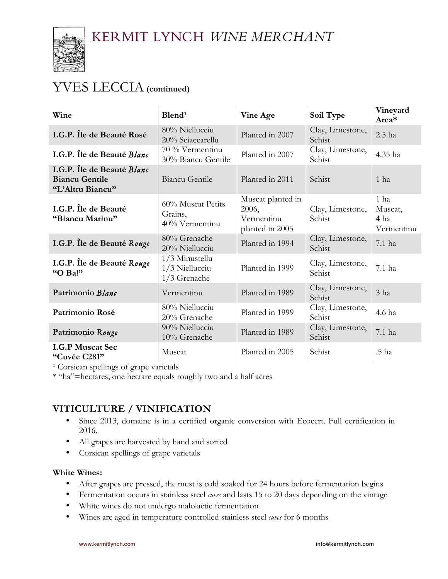

## YVES LECCIA**(continued)**

| Wine                                                                    | Blend <sup>1</sup>                                   | <b>Vine Age</b>                                             | <b>Soil Type</b>           | <b>Vineyard</b><br>Area*              |
|-------------------------------------------------------------------------|------------------------------------------------------|-------------------------------------------------------------|----------------------------|---------------------------------------|
| I.G.P. Île de Beauté Rosé                                               | 80% Niellucciu<br>20% Sciaccarellu                   | Planted in 2007                                             | Clay, Limestone,<br>Schist | 2.5 ha                                |
| I.G.P. Île de Beauté Blanc                                              | 70 % Vermentinu<br>30% Biancu Gentile                | Planted in 2007                                             | Clay, Limestone,<br>Schist | 4.35 ha                               |
| I.G.P. Île de Beauté Blanc<br><b>Biancu Gentile</b><br>"L'Altru Biancu" | <b>Biancu Gentile</b>                                | Planted in 2011                                             | Schist                     | 1 <sub>ha</sub>                       |
| I.G.P. Île de Beauté<br>"Biancu Marinu"                                 | 60% Muscat Petits<br>Grains,<br>40% Vermentinu       | Muscat planted in<br>2006,<br>Vermentinu<br>planted in 2005 | Clay, Limestone,<br>Schist | 1 ha<br>Muscat,<br>4 ha<br>Vermentinu |
| I.G.P. Île de Beauté Rouge                                              | 80% Grenache<br>20% Niellucciu                       | Planted in 1994                                             | Clay, Limestone,<br>Schist | 7.1 ha                                |
| I.G.P. Île de Beauté Rouge<br>"O Ba!"                                   | $1/3$ Minustellu<br>$1/3$ Niellucciu<br>1/3 Grenache | Planted in 1999                                             | Clay, Limestone,<br>Schist | $7.1$ ha                              |
| Patrimonio Blanc                                                        | Vermentinu                                           | Planted in 1989                                             | Clay, Limestone,<br>Schist | 3 <sub>ha</sub>                       |
| Patrimonio Rosé                                                         | 80% Niellucciu<br>20% Grenache                       | Planted in 1999                                             | Clay, Limestone,<br>Schist | 4.6 ha                                |
| Patrimonio Rouge                                                        | 90% Niellucciu<br>10% Grenache                       | Planted in 1989                                             | Clay, Limestone,<br>Schist | 7.1 ha                                |
| <b>I.G.P Muscat Sec</b><br>"Cuvée C281"                                 | Muscat                                               | Planted in 2005                                             | Schist                     | .5 ha                                 |

<sup>1</sup> Corsican spellings of grape varietals

\* "ha"=hectares; one hectare equals roughly two and a half acres

### **VITICULTURE / VINIFICATION**

- Since 2013, domaine is in a certified organic conversion with Ecocert. Full certification in 2016.
- All grapes are harvested by hand and sorted
- Corsican spellings of grape varietals

#### **White Wines:**

- After grapes are pressed, the must is cold soaked for 24 hours before fermentation begins
- Fermentation occurs in stainless steel *cuves* and lasts 15 to 20 days depending on the vintage
- White wines do not undergo malolactic fermentation
- Wines are aged in temperature controlled stainless steel *cuves* for 6 months